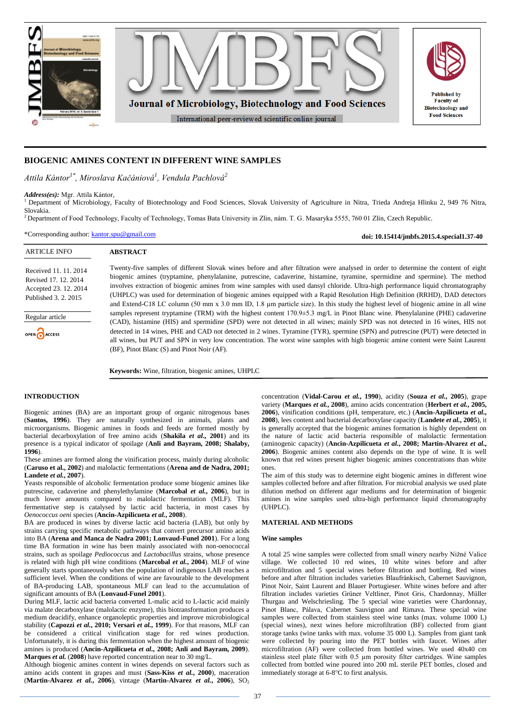

# **BIOGENIC AMINES CONTENT IN DIFFERENT WINE SAMPLES**

*Attila Kántor1\* , Miroslava Kačániová<sup>1</sup> , Vendula Pachlová<sup>2</sup>*

*Address(es):* Mgr. Attila Kántor,

<sup>1</sup> Department of Microbiology, Faculty of Biotechnology and Food Sciences, Slovak University of Agriculture in Nitra, Trieda Andreja Hlinku 2, 949 76 Nitra, Slovakia.

<sup>2</sup> Department of Food Technology, Faculty of Technology, Tomas Bata University in Zlin, nám. T. G. Masaryka 5555, 760 01 Zlín, Czech Republic.

\*Corresponding author: [kantor.spu@gmail.com](mailto:kantor.spu@gmail.com)

**doi: 10.15414/jmbfs.2015.4.special1.37-40**

| <b>ARTICLE INFO</b>                                                                            | <b>ABSTRACT</b>                                                                                                                                                                                                                                                                                                                                                                                                                                                                                                                                                                                                                                                              |
|------------------------------------------------------------------------------------------------|------------------------------------------------------------------------------------------------------------------------------------------------------------------------------------------------------------------------------------------------------------------------------------------------------------------------------------------------------------------------------------------------------------------------------------------------------------------------------------------------------------------------------------------------------------------------------------------------------------------------------------------------------------------------------|
| Received 11, 11, 2014<br>Revised 17, 12, 2014<br>Accepted 23, 12, 2014<br>Published 3, 2, 2015 | Twenty-five samples of different Slovak wines before and after filtration were analysed in order to determine the content of eight<br>biogenic amines (tryptamine, phenylalanine, putrescine, cadaverine, histamine, tyramine, spermidine and spermine). The method<br>involves extraction of biogenic amines from wine samples with used dansyl chloride. Ultra-high performance liquid chromatography<br>(UHPLC) was used for determination of biogenic amines equipped with a Rapid Resolution High Definition (RRHD), DAD detectors<br>and Extend-C18 LC column (50 mm x 3.0 mm ID, 1.8 µm particle size). In this study the highest level of biogenic amine in all wine |
| Regular article<br>OPEN CACCESS                                                                | samples represent tryptamine (TRM) with the highest content $170.9\pm5.3$ mg/L in Pinot Blanc wine. Phenylalanine (PHE) cadaverine<br>(CAD), histamine (HIS) and spermidine (SPD) were not detected in all wines; mainly SPD was not detected in 16 wines, HIS not<br>detected in 14 wines, PHE and CAD not detected in 2 wines. Tyramine (TYR), spermine (SPN) and putrescine (PUT) were detected in<br>all wines, but PUT and SPN in very low concentration. The worst wine samples with high biogenic amine content were Saint Laurent<br>(BF), Pinot Blanc (S) and Pinot Noir (AF).                                                                                      |

**Keywords:** Wine, filtration, biogenic amines, UHPLC

#### **INTRODUCTION**

Biogenic amines (BA) are an important group of organic nitrogenous bases (**Santos, 1996**). They are naturally synthesized in animals, plants and microorganisms. Biogenic amines in foods and feeds are formed mostly by bacterial decarboxylation of free amino acids (**Shakila** *et al***., 2001**) and its presence is a typical indicator of spoilage (**Anli and Bayram, 2008; Shalaby, 1996**).

These amines are formed along the vinification process, mainly during alcoholic (**Caruso et al., 2002**) and malolactic fermentations (**Arena and de Nadra, 2001; Landete** *et al.***, 2007**).

Yeasts responsible of alcoholic fermentation produce some biogenic amines like putrescine, cadaverine and phenylethylamine (**Marcobal** *et al.***, 2006**), but in much lower amounts compared to malolactic fermentation (MLF). This fermentative step is catalysed by lactic acid bacteria, in most cases by *Oenococcus oeni* species (**Ancin-Azpilicueta** *et al.***, 2008**).

BA are produced in wines by diverse lactic acid bacteria (LAB), but only by strains carrying specific metabolic pathways that convert precursor amino acids into BA (**Arena and Manca de Nadra 2001; Lonvaud-Funel 2001**). For a long time BA formation in wine has been mainly associated with non-oenococcal strains, such as spoilage *Pediococcus* and *Lactobacillus* strains, whose presence is related with high pH wine conditions (**Marcobal** *et al.***, 2004**). MLF of wine generally starts spontaneously when the population of indigenous LAB reaches a sufficient level. When the conditions of wine are favourable to the development of BA-producing LAB, spontaneous MLF can lead to the accumulation of significant amounts of BA (**Lonvaud-Funel 2001**).

During MLF, lactic acid bacteria converted L-malic acid to L-lactic acid mainly via malate decarboxylase (malolactic enzyme), this biotransformation produces a medium deacidify, enhance organoleptic properties and improve microbiological stability (**Capozzi** *et al.***, 2010; Versari** *et al.***, 1999**). For that reasons, MLF can be considered a critical vinification stage for red wines production. Unfortunately, it is during this fermentation when the highest amount of biogenic amines is produced (**Ancin-Azpilicueta** *et al.***, 2008; Anli and Bayram, 2009**). **Marques** *et al.* (**2008**) have reported concentration near to 30 mg/L.

Although biogenic amines content in wines depends on several factors such as amino acids content in grapes and must (**Sass-Kiss** *et al.***, 2000**), maceration (Martin-Alvarez *et al.*, 2006), vintage (Martin-Alvarez *et al.*, 2006), SO<sub>2</sub>

concentration (**Vidal-Carou** *et al.***, 1990**), acidity (**Souza** *et al.***, 2005**), grape variety (**Marques** *et al.***, 2008**), amino acids concentration (**Herbert** *et al.***, 2005, 2006**), vinification conditions (pH, temperature, etc.) (**Ancin-Azpilicueta** *et al.***, 2008**), lees content and bacterial decarboxylase capacity (**Landete** *et al.***, 2005**), it is generally accepted that the biogenic amines formation is highly dependent on the nature of lactic acid bacteria responsible of malolactic fermentation (aminogenic capacity) (**Ancin-Azpilicueta** *et al.***, 2008; Martin-Alvarez** *et al.***, 2006**). Biogenic amines content also depends on the type of wine. It is well known that red wines present higher biogenic amines concentrations than white ones.

The aim of this study was to determine eight biogenic amines in different wine samples collected before and after filtration. For microbial analysis we used plate dilution method on different agar mediums and for determination of biogenic amines in wine samples used ultra-high performance liquid chromatography (UHPLC).

#### **MATERIAL AND METHODS**

#### **Wine samples**

A total 25 wine samples were collected from small winery nearby Nižné Valice village. We collected 10 red wines, 10 white wines before and after microfiltration and 5 special wines before filtration and bottling. Red wines before and after filtration includes varieties Blaufränkisch, Cabernet Sauvignon, Pinot Noir, Saint Laurent and Blauer Portugieser. White wines before and after filtration includes varieties Grüner Veltliner, Pinot Gris, Chardonnay, Müller Thurgau and Welschriesling. The 5 special wine varieties were Chardonnay, Pinot Blanc, Pálava, Cabernet Sauvignon and Rimava. These special wine samples were collected from stainless steel wine tanks (max. volume 1000 L) (special wines), next wines before microfiltration (BF) collected from giant storage tanks (wine tanks with max. volume 35 000 L). Samples from giant tank were collected by pouring into the PET bottles with faucet. Wines after microfiltration (AF) were collected from bottled wines. We used 40x40 cm stainless steel plate filter with 0.5 µm porosity filter cartridges. Wine samples collected from bottled wine poured into 200 mL sterile PET bottles, closed and immediately storage at 6-8°C to first analysis.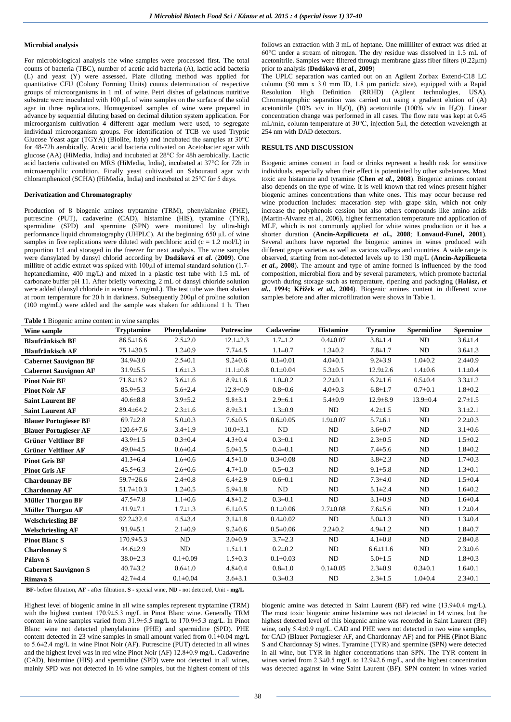#### **Microbial analysis**

For microbiological analysis the wine samples were processed first. The total counts of bacteria (TBC), number of acetic acid bacteria (A), lactic acid bacteria (L) and yeast (Y) were assessed. Plate diluting method was applied for quantitative CFU (Colony Forming Units) counts determination of respective groups of microorganisms in 1 mL of wine. Petri dishes of gelatinous nutritive substrate were inoculated with 100  $\mu$ L of wine samples on the surface of the solid agar in three replications. Homogenized samples of wine were prepared in advance by sequential diluting based on decimal dilution system application. For microorganism cultivation 4 different agar medium were used, to segregate individual microorganism groups. For identification of TCB we used Tryptic Glucose Yeast agar (TGYA) (Biolife, Italy) and incubated the samples at  $30^{\circ}$ C for 48-72h aerobically. Acetic acid bacteria cultivated on Acetobacter agar with glucose (AA) (HiMedia, India) and incubated at 28°C for 48h aerobically. Lactic acid bacteria cultivated on MRS (HiMedia, India), incubated at 37°C for 72h in microaerophilic condition. Finally yeast cultivated on Sabouraud agar with chloramphenicol (SCHA) (HiMedia, India) and incubated at 25°C for 5 days.

#### **Derivatization and Chromatography**

Production of 8 biogenic amines tryptamine (TRM), phenylalanine (PHE), putrescine (PUT), cadaverine (CAD), histamine (HIS), tyramine (TYR), spermidine (SPD) and spermine (SPN) were monitored by ultra-high performance liquid chromatography (UHPLC). At the beginning 650 µL of wine samples in five replications were diluted with perchloric acid ( $c = 1.2$  mol/L) in proportion 1:1 and storaged in the freezer for next analysis. The wine samples were dansylated by dansyl chlorid according by **Dadáková** *et al.* (**2009**). One millitre of acidic extract was spiked with 100 $\mu$ l of internal standard solution (1.7heptanediamine, 400 mg/L) and mixed in a plastic test tube with 1.5 mL of carbonate buffer pH 11. After briefly vortexing, 2 mL of dansyl chloride solution were added (dansyl chloride in acetone 5 mg/mL). The test tube was then shaken at room temperature for 20 h in darkness. Subsequently 200µl of proline solution (100 mg/mL) were added and the sample was shaken for additional 1 h. Then

follows an extraction with 3 mL of heptane. One milliliter of extract was dried at 60°C under a stream of nitrogen. The dry residue was dissolved in 1.5 mL of acetonitrile. Samples were filtered through membrane glass fiber filters  $(0.22 \mu m)$ prior to analysis (**Dadáková** *et al.,* **2009**)

The UPLC separation was carried out on an Agilent Zorbax Extend-C18 LC column (50 mm x 3.0 mm ID, 1.8 µm particle size), equipped with a Rapid Resolution High Definition (RRHD) (Agilent technologies, USA). Chromatographic separation was carried out using a gradient elution of (A) acetonitrile (10% v/v in H<sub>2</sub>O), (B) acetonitrile (100% v/v in H<sub>2</sub>O). Linear concentration change was performed in all cases. The flow rate was kept at 0.45 mL/min, column temperature at 30°C, injection 5µl, the detection wavelength at 254 nm with DAD detectors.

### **RESULTS AND DISCUSSION**

Biogenic amines content in food or drinks represent a health risk for sensitive individuals, especially when their effect is potentiated by other substances. Most toxic are histamine and tyramine (**Chen** *et al.***, 2008**). Biogenic amines content also depends on the type of wine. It is well known that red wines present higher biogenic amines concentrations than white ones. This may occur because red wine production includes: maceration step with grape skin, which not only increase the polyphenols cession but also others compounds like amino acids (Martin-Alvarez et al., 2006), higher fermentation temperature and application of MLF, which is not commonly applied for white wines production or it has a shorter duration (**Ancin-Azpilicueta** *et al.***, 2008**; **Lonvaud-Funel, 2001**). Several authors have reported the biogenic amines in wines produced with different grape varieties as well as various valleys and countries. A wide range is observed, starting from not-detected levels up to 130 mg/L (**Ancin-Azpilicueta**  *et al.***, 2008**). The amount and type of amine formed is influenced by the food composition, microbial flora and by several parameters, which promote bacterial growth during storage such as temperature, ripening and packaging (**Halász,** *et al.***, 1994; Křížek** *et al.***, 2004**). Biogenic amines content in different wine samples before and after microfiltration were shows in Table 1.

**Table 1** Biogenic amine content in wine samples

| Wine sample                  | <b>Tryptamine</b> | Phenylalanine  | <b>Putrescine</b> | Cadaverine     | <b>Histamine</b> | <b>Tyramine</b> | <b>Spermidine</b> | <b>Spermine</b> |
|------------------------------|-------------------|----------------|-------------------|----------------|------------------|-----------------|-------------------|-----------------|
| <b>Blaufränkisch BF</b>      | $86.5 \pm 16.6$   | $2.5 \pm 2.0$  | $12.1 \pm 2.3$    | $1.7 \pm 1.2$  | $0.4 \pm 0.07$   | $3.8 \pm 1.4$   | ND                | $3.6 \pm 1.4$   |
| <b>Blaufränkisch AF</b>      | $75.1 \pm 30.5$   | $1.2 \pm 0.9$  | $7.7 + 4.5$       | $1.1 \pm 0.7$  | $1.3 \pm 0.2$    | $7.8 + 1.7$     | ND                | $3.6 \pm 1.3$   |
| <b>Cabernet Sauvignon BF</b> | $34.9 \pm 3.0$    | $2.5 \pm 0.1$  | $9.2 \pm 0.6$     | $0.1 \pm 0.01$ | $4.0 + 0.1$      | $9.2 \pm 3.9$   | $1.0 + 0.2$       | $2.4 \pm 0.9$   |
| <b>Cabernet Sauvignon AF</b> | $31.9 \pm 5.5$    | $1.6 \pm 1.3$  | $11.1 \pm 0.8$    | $0.1 \pm 0.04$ | $5.3 \pm 0.5$    | $12.9 \pm 2.6$  | $1.4 \pm 0.6$     | $1.1 \pm 0.4$   |
| <b>Pinot Noir BF</b>         | $71.8 \pm 18.2$   | $3.6 \pm 1.6$  | $8.9 \pm 1.6$     | $1.0 + 0.2$    | $2.2 \pm 0.1$    | $6.2 \pm 1.6$   | $0.5 \pm 0.4$     | $3.3 \pm 1.2$   |
| <b>Pinot Noir AF</b>         | $85.9 \pm 5.3$    | $5.6 \pm 2.4$  | $12.8 \pm 0.9$    | $0.8 + 0.6$    | $4.0 \pm 0.3$    | $6.8 \pm 1.7$   | $0.7 + 0.1$       | $1.8 + 0.2$     |
| <b>Saint Laurent BF</b>      | $40.6 \pm 8.8$    | $3.9 \pm 5.2$  | $9.8 \pm 3.1$     | $2.9 \pm 6.1$  | $5.4 \pm 0.9$    | $12.9 \pm 8.9$  | $13.9 \pm 0.4$    | $2.7 \pm 1.5$   |
| <b>Saint Laurent AF</b>      | $89.4 \pm 64.2$   | $2.3 \pm 1.6$  | $8.9 \pm 3.1$     | $1.3 \pm 0.9$  | ND               | $4.2 \pm 1.5$   | ND                | $3.1 \pm 2.1$   |
| <b>Blauer Portugieser BF</b> | $69.7 \pm 2.8$    | $5.0 \pm 0.3$  | $7.6 \pm 0.5$     | $0.6 \pm 0.05$ | $1.9 \pm 0.07$   | $5.7 \pm 6.1$   | ND                | $2.2 \pm 0.3$   |
| <b>Blauer Portugieser AF</b> | $120.6 \pm 7.6$   | $3.4 \pm 1.9$  | $10.0 + 3.1$      | ND             | ND               | $3.6 \pm 0.7$   | $\rm ND$          | $3.1 \pm 0.6$   |
| <b>Grüner Veltliner BF</b>   | $43.9 \pm 1.5$    | $0.3 \pm 0.4$  | $4.3 \pm 0.4$     | $0.3 \pm 0.1$  | ND               | $2.3 \pm 0.5$   | ND                | $1.5 \pm 0.2$   |
| <b>Grüner Veltliner AF</b>   | $49.0 \pm 4.5$    | $0.6 + 0.4$    | $5.0 \pm 1.5$     | $0.4 \pm 0.1$  | ND               | $7.4 + 5.6$     | ND                | $1.8 + 0.2$     |
| <b>Pinot Gris BF</b>         | $41.3 \pm 6.4$    | $1.6 \pm 0.6$  | $4.5 \pm 1.0$     | $0.3 \pm 0.08$ | <b>ND</b>        | $3.8 \pm 2.3$   | ND                | $1.7 \pm 0.3$   |
| <b>Pinot Gris AF</b>         | $45.5 \pm 6.3$    | $2.6 \pm 0.6$  | $4.7 \pm 1.0$     | $0.5 \pm 0.3$  | ND               | $9.1 \pm 5.8$   | ND                | $1.3 \pm 0.1$   |
| <b>Chardonnay BF</b>         | $59.7 \pm 26.6$   | $2.4 \pm 0.8$  | $6.4 \pm 2.9$     | $0.6 + 0.1$    | ND               | $7.3 + 4.0$     | ND                | $1.5 \pm 0.4$   |
| <b>Chardonnay AF</b>         | $51.7 \pm 10.3$   | $1.2 \pm 0.5$  | $5.9 \pm 1.8$     | ND             | <b>ND</b>        | $5.1 \pm 2.4$   | ND                | $1.6 + 0.2$     |
| <b>Müller Thurgau BF</b>     | $47.5 \pm 7.8$    | $1.1 \pm 0.6$  | $4.8 \pm 1.2$     | $0.3 \pm 0.1$  | ND               | $3.1 \pm 0.9$   | ND                | $1.6 \pm 0.4$   |
| <b>Müller Thurgau AF</b>     | $41.9 \pm 7.1$    | $1.7 \pm 1.3$  | $6.1 \pm 0.5$     | $0.1 \pm 0.06$ | $2.7 \pm 0.08$   | $7.6 \pm 5.6$   | ND                | $1.2 \pm 0.4$   |
| <b>Welschriesling BF</b>     | $92.2 \pm 32.4$   | $4.5 \pm 3.4$  | $3.1 \pm 1.8$     | $0.4 \pm 0.02$ | ND               | $5.0 \pm 1.3$   | <b>ND</b>         | $1.3 \pm 0.4$   |
| <b>Welschriesling AF</b>     | $91.9 \pm 5.1$    | $2.1 \pm 0.9$  | $9.2 \pm 0.6$     | $0.5 \pm 0.06$ | $2.2 \pm 0.2$    | $4.9 \pm 1.2$   | ND                | $1.8 + 0.7$     |
| <b>Pinot Blanc S</b>         | $170.9 \pm 5.3$   | ND             | $3.0 \pm 0.9$     | $3.7 \pm 2.3$  | ND               | $4.1 \pm 0.8$   | ND                | $2.8 \pm 0.8$   |
| <b>Chardonnay S</b>          | $44.6 \pm 2.9$    | ND             | $1.5 \pm 1.1$     | $0.2 \pm 0.2$  | ND               | $6.6 \pm 11.6$  | ND                | $2.3 \pm 0.6$   |
| Pálava S                     | $38.0 \pm 2.3$    | $0.1 \pm 0.09$ | $1.5 \pm 0.3$     | $0.1 \pm 0.03$ | ND               | $5.0 \pm 1.5$   | ND                | $1.8 \pm 0.3$   |
| <b>Cabernet Sauvignon S</b>  | $40.7 \pm 3.2$    | $0.6 \pm 1.0$  | $4.8 \pm 0.4$     | $0.8 + 1.0$    | $0.1 + 0.05$     | $2.3 \pm 0.9$   | $0.3 \pm 0.1$     | $1.6 \pm 0.1$   |
| Rimava S                     | $42.7 + 4.4$      | $0.1 \pm 0.04$ | $3.6 \pm 3.1$     | $0.3 \pm 0.3$  | ND               | $2.3 \pm 1.5$   | $1.0 + 0.4$       | $2.3 \pm 0.1$   |

**BF**- before filtration, **AF** - after filtration, **S** - special wine, **ND** - not detected, Unit - **mg/L**

Highest level of biogenic amine in all wine samples represent tryptamine (TRM) with the highest content 170.9±5.3 mg/L in Pinot Blanc wine. Generally TRM content in wine samples varied from 31.9±5.5 mg/L to 170.9±5.3 mg/L. In Pinot Blanc wine not detected phenylalanine (PHE) and spermidine (SPD). PHE content detected in 23 wine samples in small amount varied from 0.1±0.04 mg/L to 5.6±2.4 mg/L in wine Pinot Noir (AF). Putrescine (PUT) detected in all wines and the highest level was in red wine Pinot Noir (AF) 12.8±0.9 mg/L. Cadaverine (CAD), histamine (HIS) and spermidine (SPD) were not detected in all wines, mainly SPD was not detected in 16 wine samples, but the highest content of this

biogenic amine was detected in Saint Laurent (BF) red wine (13.9±0.4 mg/L). The most toxic biogenic amine histamine was not detected in 14 wines, but the highest detected level of this biogenic amine was recorded in Saint Laurent (BF) wine, only 5.4±0.9 mg/L. CAD and PHE were not detected in two wine samples, for CAD (Blauer Portugieser AF, and Chardonnay AF) and for PHE (Pinot Blanc S and Chardonnay S) wines. Tyramine (TYR) and spermine (SPN) were detected in all wine, but TYR in higher concentrations than SPN. The TYR content in wines varied from  $2.3\pm0.5$  mg/L to  $12.9\pm2.6$  mg/L, and the highest concentration was detected against in wine Saint Laurent (BF). SPN content in wines varied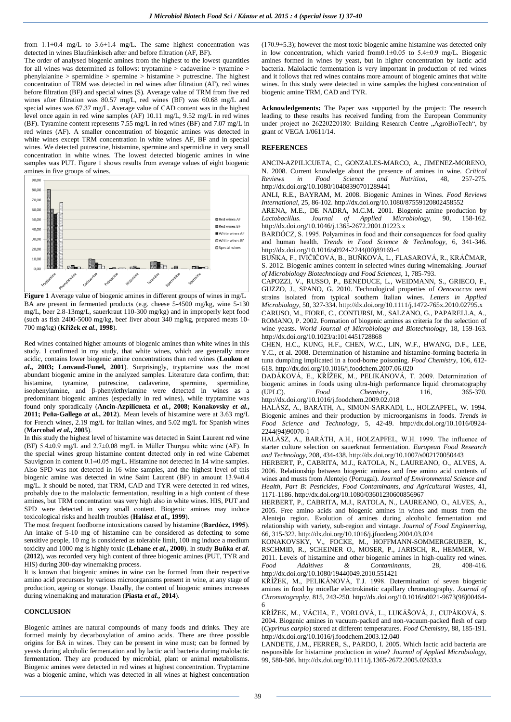from  $1.1\pm0.4$  mg/L to  $3.6\pm1.4$  mg/L. The same highest concentration was detected in wines Blaufränkisch after and before filtration (AF, BF).

The order of analysed biogenic amines from the highest to the lowest quantities for all wines was determined as follows: tryptamine > cadaverine > tyramine > phenylalanine > spermidine > spermine > histamine > putrescine. The highest concentration of TRM was detected in red wines after filtration (AF), red wines before filtration (BF) and special wines (S). Average value of TRM from five red wines after filtration was 80.57 mg/L, red wines (BF) was 60.68 mg/L and special wines was 67.37 mg/L. Average value of CAD content was in the highest level once again in red wine samples (AF) 10.11 mg/L, 9.52 mg/L in red wines (BF). Tyramine content represents 7.55 mg/L in red wines (BF) and 7.07 mg/L in red wines (AF). A smaller concentration of biogenic amines was detected in white wines except TRM concentration in white wines AF, BF and in special wines. We detected putrescine, histamine, spermine and spermidine in very small concentration in white wines. The lowest detected biogenic amines in wine samples was PUT. Figure 1 shows results from average values of eight biogenic amines in five groups of wines.



**Figure 1** Average value of biogenic amines in different groups of wines in mg/L BA are present in fermented products (e.g. cheese 5-4500 mg/kg, wine 5-130 mg/L, beer 2.8-13mg/L, sauerkraut 110-300 mg/kg) and in improperly kept food (such as fish 2400-5000 mg/kg, beef liver about 340 mg/kg, prepared meats 10- 700 mg/kg) (**Křížek** *et al***., 1998**).

Red wines contained higher amounts of biogenic amines than white wines in this study. I confirmed in my study, that white wines, which are generally more acidic, contains lower biogenic amine concentrations than red wines (**Loukou** *et al.***, 2003; Lonvaud-Funel, 2001**). Surprisingly, tryptamine was the most abundant biogenic amine in the analyzed samples. Literature data confirm, that: histamine, tyramine, putrescine, cadaverine, spermine, spermidine, isophenylamine, and β-phenylethylamine were detected in wines as a predominant biogenic amines (especially in red wines), while tryptamine was found only sporadically (**Ancin-Azpilicueta** *et al.***, 2008; Konakovsky** *et al.***, 2011; Peña-Gallego** *at al.***, 2012**). Mean levels of histamine were at 3.63 mg/L for French wines, 2.19 mg/L for Italian wines, and 5.02 mg/L for Spanish wines (**Marcobal** *et al.***, 2005**).

In this study the highest level of histamine was detected in Saint Laurent red wine (BF) 5.4±0.9 mg/L and 2.7±0.08 mg/L in Müller Thurgau white wine (AF). In the special wines group histamine content detected only in red wine Cabernet Sauvignon in content 0.1±0.05 mg/L. Histamine not detected in 14 wine samples. Also SPD was not detected in 16 wine samples, and the highest level of this biogenic amine was detected in wine Saint Laurent (BF) in amount 13.9±0.4 mg/L. It should be noted, that TRM, CAD and TYR were detected in red wines, probably due to the malolactic fermentation, resulting in a high content of these amines, but TRM concentration was very high also in white wines. HIS, PUT and SPD were detected in very small content. Biogenic amines may induce toxicological risks and health troubles (**Halász** *et al.***, 1999**).

The most frequent foodborne intoxications caused by histamine (**Bardócz, 1995**). An intake of 5-10 mg of histamine can be considered as defecting to some sensitive people, 10 mg is considered as tolerable limit, 100 mg induce a medium toxicity and 1000 mg is highly toxic (**Lehane** *et al.***, 2000**). In study **Buňka** *et al*. (**2012**), was recorded very high content of three biogenic amines (PUT, TYR and HIS) during 300-day winemaking process.

It is known that biogenic amines in wine can be formed from their respective amino acid precursors by various microorganisms present in wine, at any stage of production, ageing or storage. Usually, the content of biogenic amines increases during winemaking and maturation (**Piasta** *et al.***, 2014**).

#### **CONCLUSION**

Biogenic amines are natural compounds of many foods and drinks. They are formed mainly by decarboxylation of amino acids. There are three possible origins for BA in wines. They can be present in wine must; can be formed by yeasts during alcoholic fermentation and by lactic acid bacteria during malolactic fermentation. They are produced by microbial, plant or animal metabolisms. Biogenic amines were detected in red wines at highest concentration. Tryptamine was a biogenic amine, which was detected in all wines at highest concentration

(170.9±5.3); however the most toxic biogenic amine histamine was detected only in low concentration, which varied from0.1 $\pm$ 0.05 to 5.4 $\pm$ 0.9 mg/L. Biogenic amines formed in wines by yeast, but in higher concentration by lactic acid bacteria. Malolactic fermentation is very important in production of red wines and it follows that red wines contains more amount of biogenic amines that white wines. In this study were detected in wine samples the highest concentration of biogenic amine TRM, CAD and TYR.

**Acknowledgements:** The Paper was supported by the project: The research leading to these results has received funding from the European Community under project no 26220220180: Building Research Centre "AgroBioTech", by grant of VEGA 1/0611/14.

## **REFERENCES**

ANCIN-AZPILICUETA, C., GONZALES-MARCO, A., JIMENEZ-MORENO, N. 2008. Current knowledge about the presence of amines in wine. *Critical Reviews in Food Science and Nutrition*, 48, 257-275. <http://dx.doi.org/10.1080/10408390701289441>

ANLI, R.E., BAYRAM, M. 2008. Biogenic Amines in Wines. *Food Reviews International*, 25, 86-102[. http://dx.doi.org/10.1080/87559120802458552](http://dx.doi.org/10.1080/87559120802458552)

ARENA, M.E., DE NADRA, M.C.M. 2001. Biogenic amine production by Lactobacillus. Journal of Applied Microbiology, 90, 158-162. *Lactobacillus*. *Journal of Applied Microbiology*, 90, 158-162. <http://dx.doi.org/10.1046/j.1365-2672.2001.01223.x>

BARDÓCZ, S. 1995. Polyamines in food and their consequences for food quality and human health. *Trends in Food Science & Technology*, 6, 341-346. [http://dx.doi.org/10.1016/s0924-2244\(00\)89169-4](http://dx.doi.org/10.1016/s0924-2244%2800%2989169-4)

BUŇKA, F., IVIČIČOVÁ, B., BUŇKOVÁ, L., FLASAROVÁ, R., KRÁČMAR, S. 2012. Biogenic amines content in selected wines during winemaking. *Journal of Microbiology Biotechnology and Food Sciences*, 1, 785-793.

CAPOZZI, V., RUSSO, P., BENEDUCE, L., WEIDMANN, S., GRIECO, F., GUZZO, J., SPANO, G. 2010. Technological properties of *Oenococcus oeni* strains isolated from typical southern Italian wines. *Letters in Applied Microbiology*, 50, 327-334[. http://dx.doi.org/10.1111/j.1472-765x.2010.02795.x](http://dx.doi.org/10.1111/j.1472-765x.2010.02795.x)

CARUSO, M., FIORE, C., CONTURSI, M., SALZANO, G., PAPARELLA, A., ROMANO, P. 2002. Formation of biogenic amines as criteria for the selection of wine yeasts. *World Journal of Microbiology and Biotechnology*, 18, 159-163. <http://dx.doi.org/10.1023/a:1014451728868>

CHEN, H.C., KUNG, H.F., CHEN, W.C., LIN, W.F., HWANG, D.F., LEE, Y.C., et al. 2008. Determination of histamine and histamine-forming bacteria in tuna dumpling implicated in a food-borne poisoning. *Food Chemistry*, 106, 612- 618[. http://dx.doi.org/10.1016/j.foodchem.2007.06.020](http://dx.doi.org/10.1016/j.foodchem.2007.06.020)

DADÁKOVÁ, E., KŘÍŽEK, M., PELIKÁNOVÁ, T. 2009. Determination of biogenic amines in foods using ultra-high performance liquid chromatography (UPLC). Food Chemistry. 116, 365-370. (UPLC). *Food Chemistry*, 116, 365-370. <http://dx.doi.org/10.1016/j.foodchem.2009.02.018>

HALÁSZ, A., BARÁTH, A., SIMON-SARKADI, L., HOLZAPFEL, W. 1994. Biogenic amines and their production by microorganisms in foods. *Trends in Food Science and Technology*, 5, 42-49. [http://dx.doi.org/10.1016/0924-](http://dx.doi.org/10.1016/0924-2244%2894%2990070-1) [2244\(94\)90070-1](http://dx.doi.org/10.1016/0924-2244%2894%2990070-1)

HALÁSZ, A., BARÁTH, A.H., HOLZAPFEL, W.H. 1999. The influence of starter culture selection on sauerkraut fermentation. *European Food Research and Technology*, 208, 434-438[. http://dx.doi.org/10.1007/s002170050443](http://dx.doi.org/10.1007/s002170050443)

HERBERT, P., CABRITA, M.J., RATOLA, N., LAUREANO, O., ALVES, A. 2006. Relationship between biogenic amines and free amino acid contents of wines and musts from Alentejo (Portugal). *Journal of Environmental Science and Health, Part B*: *Pesticides, Food Contaminants, and Agricultural Wastes*, 41, 1171-1186[. http://dx.doi.org/10.1080/03601230600856967](http://dx.doi.org/10.1080/03601230600856967)

HERBERT, P., CABRITA, M.J., RATOLA, N., LAUREANO, O., ALVES, A., 2005. Free amino acids and biogenic amines in wines and musts from the Alentejo region. Evolution of amines during alcoholic fermentation and relationship with variety, sub-region and vintage. *Journal of Food Engineering*, 66, 315-322[. http://dx.doi.org/10.1016/j.jfoodeng.2004.03.024](http://dx.doi.org/10.1016/j.jfoodeng.2004.03.024)

KONAKOVSKY, V., FOCKE, M., HOFFMANN-SOMMERGRUBER, K., RSCHMID, R., SCHEINER O., MOSER, P., JARISCH, R., HEMMER, W. 2011. Levels of histamine and other biogenic amines in high-quality red wines. *Food Additives & Contaminants*, 28, 408-416. <http://dx.doi.org/10.1080/19440049.2010.551421>

KŘÍŽEK, M., PELIKÁNOVÁ, T.J. 1998. Determination of seven biogenic amines in food by micellar electrokinetic capillary chromatography. *Journal of Chromatography*, 815, 243-250. [http://dx.doi.org/10.1016/s0021-9673\(98\)00464-](http://dx.doi.org/10.1016/s0021-9673%2898%2900464-6) [6](http://dx.doi.org/10.1016/s0021-9673%2898%2900464-6)

KŘÍŽEK, M., VÁCHA, F., VORLOVÁ, L., LUKÁŠOVÁ, J., CUPÁKOVÁ, S. 2004. Biogenic amines in vacuum-packed and non-vacuum-packed flesh of carp (*Cyprinus carpio*) stored at different temperatures. *Food Chemistry*, 88, 185-191. <http://dx.doi.org/10.1016/j.foodchem.2003.12.040>

LANDETE, J.M., FERRER, S., PARDO, I. 2005. Which lactic acid bacteria are responsible for histamine production in wine? *Journal of Applied Microbiology*, 99, 580-586[. http://dx.doi.org/10.1111/j.1365-2672.2005.02633.x](http://dx.doi.org/10.1111/j.1365-2672.2005.02633.x)